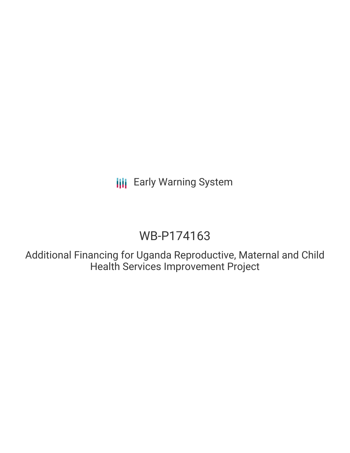**III** Early Warning System

# WB-P174163

Additional Financing for Uganda Reproductive, Maternal and Child Health Services Improvement Project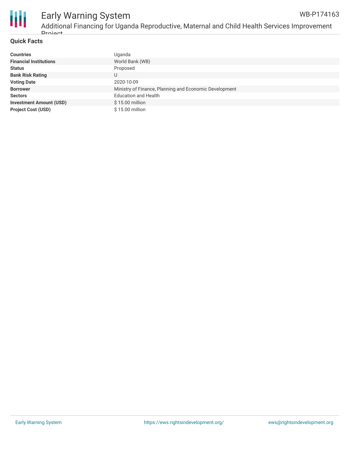

#### **Quick Facts**

| <b>Countries</b>               | Uganda                                                 |
|--------------------------------|--------------------------------------------------------|
| <b>Financial Institutions</b>  | World Bank (WB)                                        |
| <b>Status</b>                  | Proposed                                               |
| <b>Bank Risk Rating</b>        |                                                        |
| <b>Voting Date</b>             | 2020-10-09                                             |
| <b>Borrower</b>                | Ministry of Finance, Planning and Economic Development |
| <b>Sectors</b>                 | <b>Education and Health</b>                            |
| <b>Investment Amount (USD)</b> | \$15.00 million                                        |
| <b>Project Cost (USD)</b>      | \$15.00 million                                        |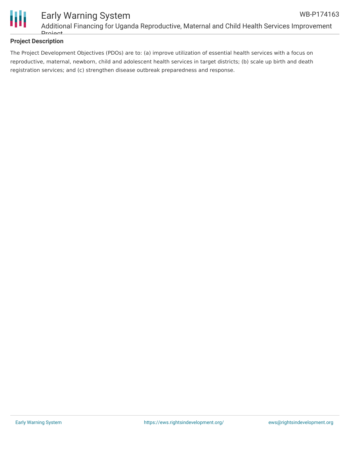

#### **Project Description**

The Project Development Objectives (PDOs) are to: (a) improve utilization of essential health services with a focus on reproductive, maternal, newborn, child and adolescent health services in target districts; (b) scale up birth and death registration services; and (c) strengthen disease outbreak preparedness and response.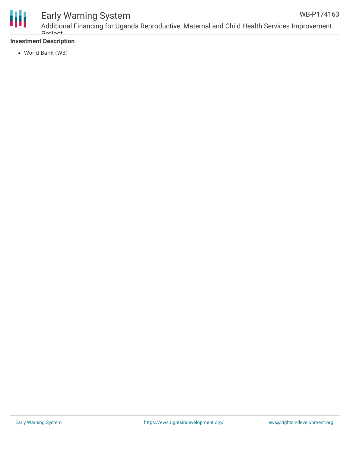

## Early Warning System

Additional Financing for Uganda Reproductive, Maternal and Child Health Services Improvement **Droject** WB-P174163

#### **Investment Description**

World Bank (WB)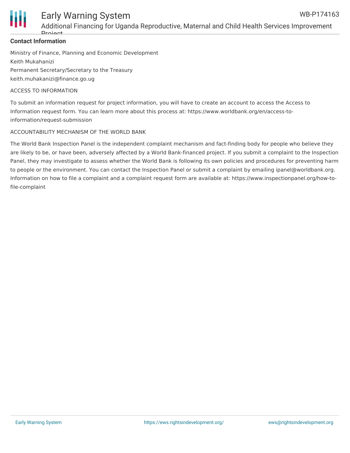

### Early Warning System WB-P174163

Additional Financing for Uganda Reproductive, Maternal and Child Health Services Improvement Drojoot

#### **Contact Information**

Ministry of Finance, Planning and Economic Development Keith Mukahanizi Permanent Secretary/Secretary to the Treasury keith.muhakanizi@finance.go.ug

#### ACCESS TO INFORMATION

To submit an information request for project information, you will have to create an account to access the Access to Information request form. You can learn more about this process at: https://www.worldbank.org/en/access-toinformation/request-submission

#### ACCOUNTABILITY MECHANISM OF THE WORLD BANK

The World Bank Inspection Panel is the independent complaint mechanism and fact-finding body for people who believe they are likely to be, or have been, adversely affected by a World Bank-financed project. If you submit a complaint to the Inspection Panel, they may investigate to assess whether the World Bank is following its own policies and procedures for preventing harm to people or the environment. You can contact the Inspection Panel or submit a complaint by emailing ipanel@worldbank.org. Information on how to file a complaint and a complaint request form are available at: https://www.inspectionpanel.org/how-tofile-complaint